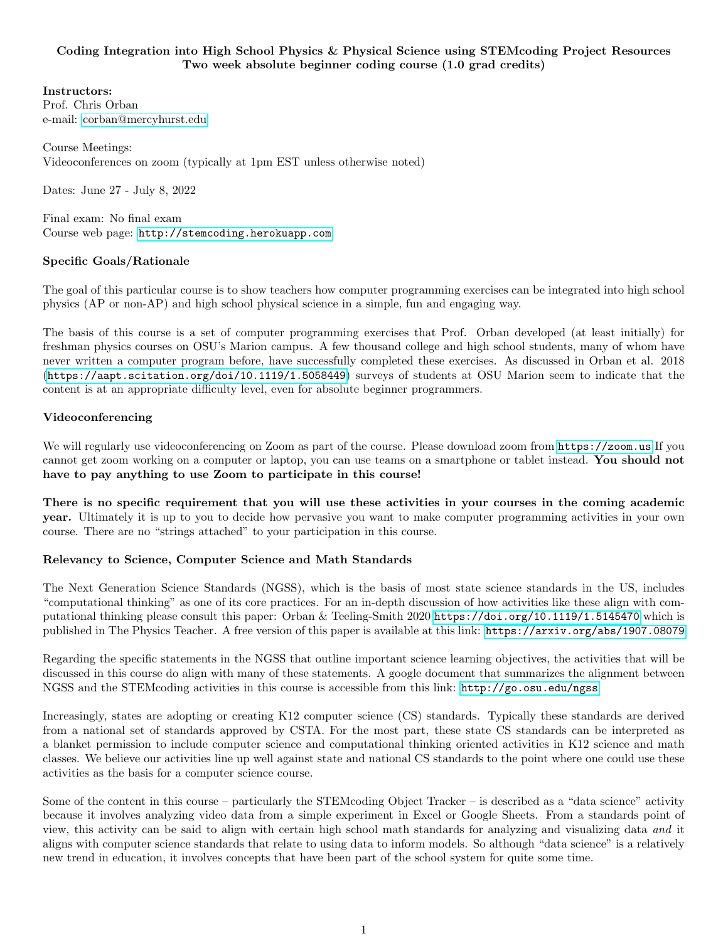### Coding Integration into High School Physics & Physical Science using STEMcoding Project Resources Two week absolute beginner coding course (1.0 grad credits)

### Instructors:

Prof. Chris Orban e-mail: [corban@mercyhurst.edu](mailto:corban@mercyhurst.edu)

Course Meetings: Videoconferences on zoom (typically at 1pm EST unless otherwise noted)

Dates: June 27 - July 8, 2022

Final exam: No final exam Course web page: <http://stemcoding.herokuapp.com>

## Specific Goals/Rationale

The goal of this particular course is to show teachers how computer programming exercises can be integrated into high school physics (AP or non-AP) and high school physical science in a simple, fun and engaging way.

The basis of this course is a set of computer programming exercises that Prof. Orban developed (at least initially) for freshman physics courses on OSU's Marion campus. A few thousand college and high school students, many of whom have never written a computer program before, have successfully completed these exercises. As discussed in Orban et al. 2018 (<https://aapt.scitation.org/doi/10.1119/1.5058449>) surveys of students at OSU Marion seem to indicate that the content is at an appropriate difficulty level, even for absolute beginner programmers.

#### Videoconferencing

We will regularly use videoconferencing on Zoom as part of the course. Please download zoom from <https://zoom.us> If you cannot get zoom working on a computer or laptop, you can use teams on a smartphone or tablet instead. You should not have to pay anything to use Zoom to participate in this course!

There is no specific requirement that you will use these activities in your courses in the coming academic year. Ultimately it is up to you to decide how pervasive you want to make computer programming activities in your own course. There are no "strings attached" to your participation in this course.

#### Relevancy to Science, Computer Science and Math Standards

The Next Generation Science Standards (NGSS), which is the basis of most state science standards in the US, includes "computational thinking" as one of its core practices. For an in-depth discussion of how activities like these align with computational thinking please consult this paper: Orban & Teeling-Smith 2020 <https://doi.org/10.1119/1.5145470> which is published in The Physics Teacher. A free version of this paper is available at this link: <https://arxiv.org/abs/1907.08079>

Regarding the specific statements in the NGSS that outline important science learning objectives, the activities that will be discussed in this course do align with many of these statements. A google document that summarizes the alignment between NGSS and the STEMcoding activities in this course is accessible from this link: <http://go.osu.edu/ngss>

Increasingly, states are adopting or creating K12 computer science (CS) standards. Typically these standards are derived from a national set of standards approved by CSTA. For the most part, these state CS standards can be interpreted as a blanket permission to include computer science and computational thinking oriented activities in K12 science and math classes. We believe our activities line up well against state and national CS standards to the point where one could use these activities as the basis for a computer science course.

Some of the content in this course – particularly the STEMcoding Object Tracker – is described as a "data science" activity because it involves analyzing video data from a simple experiment in Excel or Google Sheets. From a standards point of view, this activity can be said to align with certain high school math standards for analyzing and visualizing data and it aligns with computer science standards that relate to using data to inform models. So although "data science" is a relatively new trend in education, it involves concepts that have been part of the school system for quite some time.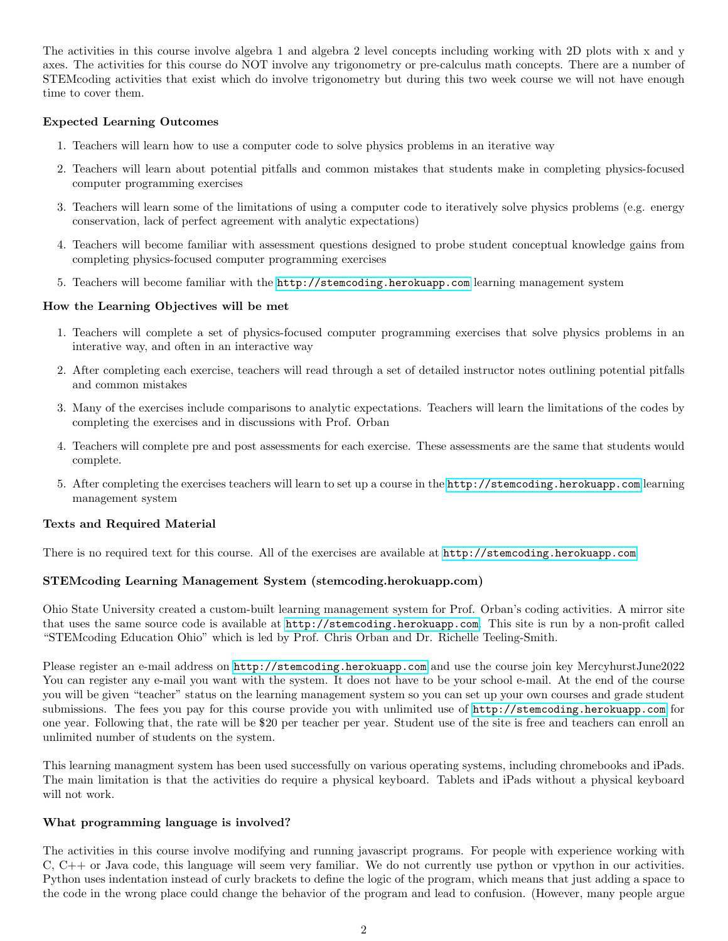The activities in this course involve algebra 1 and algebra 2 level concepts including working with 2D plots with x and y axes. The activities for this course do NOT involve any trigonometry or pre-calculus math concepts. There are a number of STEMcoding activities that exist which do involve trigonometry but during this two week course we will not have enough time to cover them.

### Expected Learning Outcomes

- 1. Teachers will learn how to use a computer code to solve physics problems in an iterative way
- 2. Teachers will learn about potential pitfalls and common mistakes that students make in completing physics-focused computer programming exercises
- 3. Teachers will learn some of the limitations of using a computer code to iteratively solve physics problems (e.g. energy conservation, lack of perfect agreement with analytic expectations)
- 4. Teachers will become familiar with assessment questions designed to probe student conceptual knowledge gains from completing physics-focused computer programming exercises
- 5. Teachers will become familiar with the <http://stemcoding.herokuapp.com> learning management system

#### How the Learning Objectives will be met

- 1. Teachers will complete a set of physics-focused computer programming exercises that solve physics problems in an interative way, and often in an interactive way
- 2. After completing each exercise, teachers will read through a set of detailed instructor notes outlining potential pitfalls and common mistakes
- 3. Many of the exercises include comparisons to analytic expectations. Teachers will learn the limitations of the codes by completing the exercises and in discussions with Prof. Orban
- 4. Teachers will complete pre and post assessments for each exercise. These assessments are the same that students would complete.
- 5. After completing the exercises teachers will learn to set up a course in the <http://stemcoding.herokuapp.com> learning management system

#### Texts and Required Material

There is no required text for this course. All of the exercises are available at <http://stemcoding.herokuapp.com>

#### STEMcoding Learning Management System (stemcoding.herokuapp.com)

Ohio State University created a custom-built learning management system for Prof. Orban's coding activities. A mirror site that uses the same source code is available at <http://stemcoding.herokuapp.com>. This site is run by a non-profit called "STEMcoding Education Ohio" which is led by Prof. Chris Orban and Dr. Richelle Teeling-Smith.

Please register an e-mail address on <http://stemcoding.herokuapp.com> and use the course join key MercyhurstJune2022 You can register any e-mail you want with the system. It does not have to be your school e-mail. At the end of the course you will be given "teacher" status on the learning management system so you can set up your own courses and grade student submissions. The fees you pay for this course provide you with unlimited use of <http://stemcoding.herokuapp.com> for one year. Following that, the rate will be \$20 per teacher per year. Student use of the site is free and teachers can enroll an unlimited number of students on the system.

This learning managment system has been used successfully on various operating systems, including chromebooks and iPads. The main limitation is that the activities do require a physical keyboard. Tablets and iPads without a physical keyboard will not work.

#### What programming language is involved?

The activities in this course involve modifying and running javascript programs. For people with experience working with C, C++ or Java code, this language will seem very familiar. We do not currently use python or vpython in our activities. Python uses indentation instead of curly brackets to define the logic of the program, which means that just adding a space to the code in the wrong place could change the behavior of the program and lead to confusion. (However, many people argue